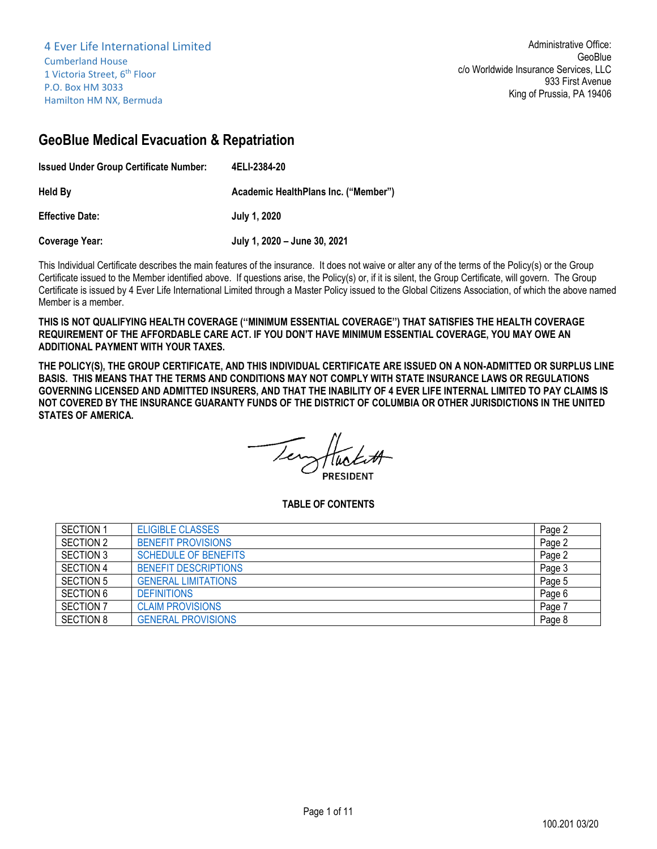# **GeoBlue Medical Evacuation & Repatriation**

| <b>Issued Under Group Certificate Number:</b> | 4ELI-2384-20                         |
|-----------------------------------------------|--------------------------------------|
| Held By                                       | Academic HealthPlans Inc. ("Member") |
| <b>Effective Date:</b>                        | July 1, 2020                         |
| <b>Coverage Year:</b>                         | July 1, 2020 - June 30, 2021         |

This Individual Certificate describes the main features of the insurance. It does not waive or alter any of the terms of the Policy(s) or the Group Certificate issued to the Member identified above. If questions arise, the Policy(s) or, if it is silent, the Group Certificate, will govern. The Group Certificate is issued by 4 Ever Life International Limited through a Master Policy issued to the Global Citizens Association, of which the above named Member is a member.

**THIS IS NOT QUALIFYING HEALTH COVERAGE (''MINIMUM ESSENTIAL COVERAGE'') THAT SATISFIES THE HEALTH COVERAGE REQUIREMENT OF THE AFFORDABLE CARE ACT. IF YOU DON'T HAVE MINIMUM ESSENTIAL COVERAGE, YOU MAY OWE AN ADDITIONAL PAYMENT WITH YOUR TAXES.**

**THE POLICY(S), THE GROUP CERTIFICATE, AND THIS INDIVIDUAL CERTIFICATE ARE ISSUED ON A NON-ADMITTED OR SURPLUS LINE BASIS. THIS MEANS THAT THE TERMS AND CONDITIONS MAY NOT COMPLY WITH STATE INSURANCE LAWS OR REGULATIONS GOVERNING LICENSED AND ADMITTED INSURERS, AND THAT THE INABILITY OF 4 EVER LIFE INTERNAL LIMITED TO PAY CLAIMS IS NOT COVERED BY THE INSURANCE GUARANTY FUNDS OF THE DISTRICT OF COLUMBIA OR OTHER JURISDICTIONS IN THE UNITED STATES OF AMERICA.**

**PRESIDENT** 

**TABLE OF CONTENTS**

| <b>SECTION 1</b> | <b>ELIGIBLE CLASSES</b>     | Page 2 |
|------------------|-----------------------------|--------|
| SECTION 2        | <b>BENEFIT PROVISIONS</b>   | Page 2 |
| <b>SECTION 3</b> | <b>SCHEDULE OF BENEFITS</b> | Page 2 |
| SECTION 4        | <b>BENEFIT DESCRIPTIONS</b> | Page 3 |
| <b>SECTION 5</b> | <b>GENERAL LIMITATIONS</b>  | Page 5 |
| <b>SECTION 6</b> | <b>DEFINITIONS</b>          | Page 6 |
| <b>SECTION 7</b> | <b>CLAIM PROVISIONS</b>     | Page   |
| <b>SECTION 8</b> | <b>GENERAL PROVISIONS</b>   | Page 8 |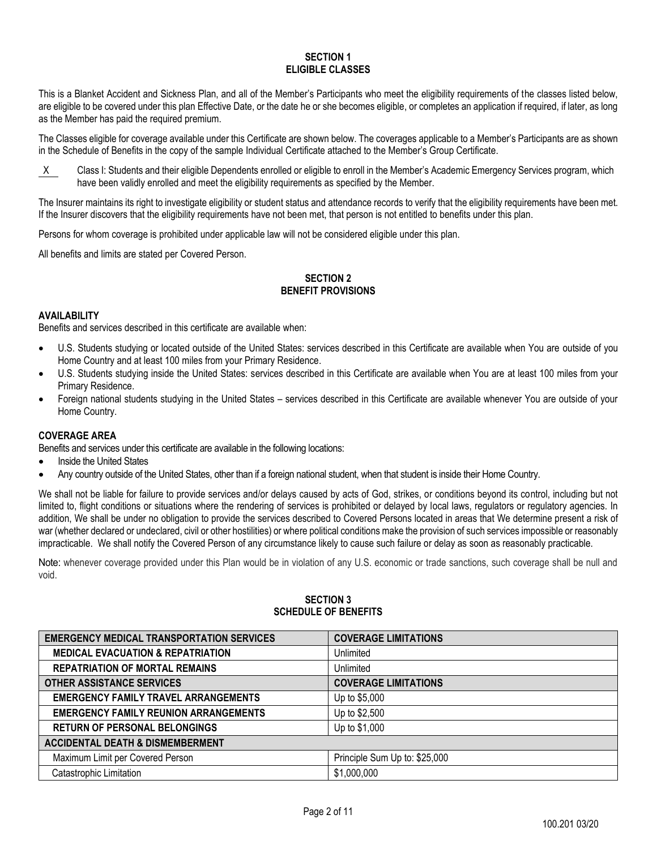#### **SECTION 1 ELIGIBLE CLASSES**

<span id="page-1-0"></span>This is a Blanket Accident and Sickness Plan, and all of the Member's Participants who meet the eligibility requirements of the classes listed below, are eligible to be covered under this plan Effective Date, or the date he or she becomes eligible, or completes an application if required, if later, as long as the Member has paid the required premium.

The Classes eligible for coverage available under this Certificate are shown below. The coverages applicable to a Member's Participants are as shown in the Schedule of Benefits in the copy of the sample Individual Certificate attached to the Member's Group Certificate.

X Class I: Students and their eligible Dependents enrolled or eligible to enroll in the Member's Academic Emergency Services program, which have been validly enrolled and meet the eligibility requirements as specified by the Member.

The Insurer maintains its right to investigate eligibility or student status and attendance records to verify that the eligibility requirements have been met. If the Insurer discovers that the eligibility requirements have not been met, that person is not entitled to benefits under this plan.

Persons for whom coverage is prohibited under applicable law will not be considered eligible under this plan.

<span id="page-1-1"></span>All benefits and limits are stated per Covered Person.

## **SECTION 2 BENEFIT PROVISIONS**

## **AVAILABILITY**

Benefits and services described in this certificate are available when:

- U.S. Students studying or located outside of the United States: services described in this Certificate are available when You are outside of you Home Country and at least 100 miles from your Primary Residence.
- U.S. Students studying inside the United States: services described in this Certificate are available when You are at least 100 miles from your Primary Residence.
- Foreign national students studying in the United States services described in this Certificate are available whenever You are outside of your Home Country.

## **COVERAGE AREA**

Benefits and services under this certificate are available in the following locations:

- Inside the United States
- Any country outside of the United States, other than if a foreign national student, when that student is inside their Home Country.

We shall not be liable for failure to provide services and/or delays caused by acts of God, strikes, or conditions beyond its control, including but not limited to, flight conditions or situations where the rendering of services is prohibited or delayed by local laws, regulators or regulatory agencies. In addition, We shall be under no obligation to provide the services described to Covered Persons located in areas that We determine present a risk of war (whether declared or undeclared, civil or other hostilities) or where political conditions make the provision of such services impossible or reasonably impracticable. We shall notify the Covered Person of any circumstance likely to cause such failure or delay as soon as reasonably practicable.

<span id="page-1-2"></span>Note: whenever coverage provided under this Plan would be in violation of any U.S. economic or trade sanctions, such coverage shall be null and void.

## **SECTION 3 SCHEDULE OF BENEFITS**

| <b>EMERGENCY MEDICAL TRANSPORTATION SERVICES</b> | <b>COVERAGE LIMITATIONS</b>   |  |
|--------------------------------------------------|-------------------------------|--|
| <b>MEDICAL EVACUATION &amp; REPATRIATION</b>     | Unlimited                     |  |
| <b>REPATRIATION OF MORTAL REMAINS</b>            | Unlimited                     |  |
| <b>OTHER ASSISTANCE SERVICES</b>                 | <b>COVERAGE LIMITATIONS</b>   |  |
| <b>EMERGENCY FAMILY TRAVEL ARRANGEMENTS</b>      | Up to \$5,000                 |  |
| <b>EMERGENCY FAMILY REUNION ARRANGEMENTS</b>     | Up to \$2,500                 |  |
| <b>RETURN OF PERSONAL BELONGINGS</b>             | Up to \$1,000                 |  |
| <b>ACCIDENTAL DEATH &amp; DISMEMBERMENT</b>      |                               |  |
| Maximum Limit per Covered Person                 | Principle Sum Up to: \$25,000 |  |
| Catastrophic Limitation                          | \$1,000,000                   |  |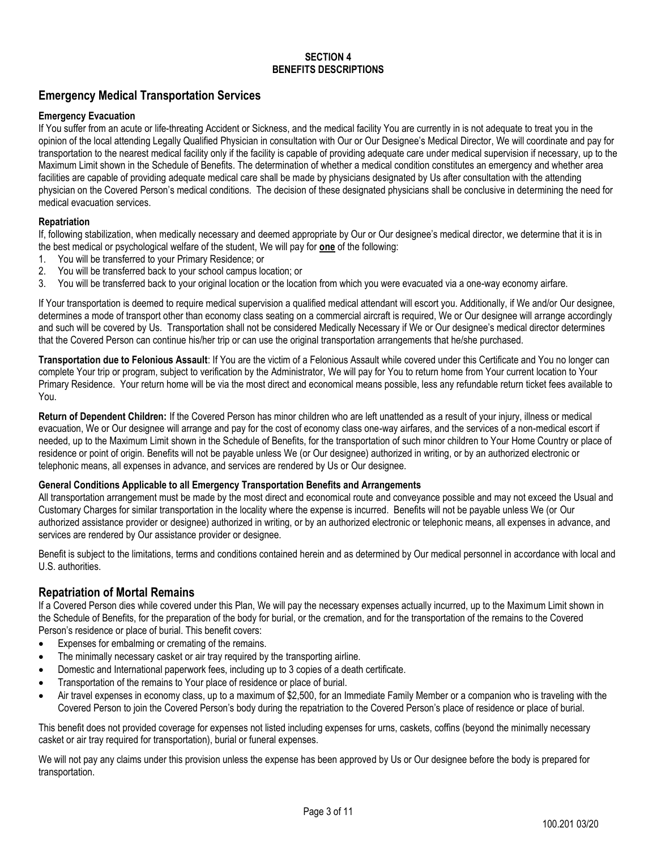#### **SECTION 4 BENEFITS DESCRIPTIONS**

## <span id="page-2-0"></span>**Emergency Medical Transportation Services**

## **Emergency Evacuation**

If You suffer from an acute or life-threating Accident or Sickness, and the medical facility You are currently in is not adequate to treat you in the opinion of the local attending Legally Qualified Physician in consultation with Our or Our Designee's Medical Director, We will coordinate and pay for transportation to the nearest medical facility only if the facility is capable of providing adequate care under medical supervision if necessary, up to the Maximum Limit shown in the Schedule of Benefits. The determination of whether a medical condition constitutes an emergency and whether area facilities are capable of providing adequate medical care shall be made by physicians designated by Us after consultation with the attending physician on the Covered Person's medical conditions. The decision of these designated physicians shall be conclusive in determining the need for medical evacuation services.

## **Repatriation**

If, following stabilization, when medically necessary and deemed appropriate by Our or Our designee's medical director, we determine that it is in the best medical or psychological welfare of the student, We will pay for **one** of the following:

- 1. You will be transferred to your Primary Residence; or
- 2. You will be transferred back to your school campus location; or
- 3. You will be transferred back to your original location or the location from which you were evacuated via a one-way economy airfare.

If Your transportation is deemed to require medical supervision a qualified medical attendant will escort you. Additionally, if We and/or Our designee, determines a mode of transport other than economy class seating on a commercial aircraft is required, We or Our designee will arrange accordingly and such will be covered by Us. Transportation shall not be considered Medically Necessary if We or Our designee's medical director determines that the Covered Person can continue his/her trip or can use the original transportation arrangements that he/she purchased.

**Transportation due to Felonious Assault**: If You are the victim of a Felonious Assault while covered under this Certificate and You no longer can complete Your trip or program, subject to verification by the Administrator, We will pay for You to return home from Your current location to Your Primary Residence. Your return home will be via the most direct and economical means possible, less any refundable return ticket fees available to You.

**Return of Dependent Children:** If the Covered Person has minor children who are left unattended as a result of your injury, illness or medical evacuation, We or Our designee will arrange and pay for the cost of economy class one-way airfares, and the services of a non-medical escort if needed, up to the Maximum Limit shown in the Schedule of Benefits, for the transportation of such minor children to Your Home Country or place of residence or point of origin. Benefits will not be payable unless We (or Our designee) authorized in writing, or by an authorized electronic or telephonic means, all expenses in advance, and services are rendered by Us or Our designee.

## **General Conditions Applicable to all Emergency Transportation Benefits and Arrangements**

All transportation arrangement must be made by the most direct and economical route and conveyance possible and may not exceed the Usual and Customary Charges for similar transportation in the locality where the expense is incurred. Benefits will not be payable unless We (or Our authorized assistance provider or designee) authorized in writing, or by an authorized electronic or telephonic means, all expenses in advance, and services are rendered by Our assistance provider or designee.

Benefit is subject to the limitations, terms and conditions contained herein and as determined by Our medical personnel in accordance with local and U.S. authorities.

## **Repatriation of Mortal Remains**

If a Covered Person dies while covered under this Plan, We will pay the necessary expenses actually incurred, up to the Maximum Limit shown in the Schedule of Benefits, for the preparation of the body for burial, or the cremation, and for the transportation of the remains to the Covered Person's residence or place of burial. This benefit covers:

- Expenses for embalming or cremating of the remains.
- The minimally necessary casket or air tray required by the transporting airline.
- Domestic and International paperwork fees, including up to 3 copies of a death certificate.
- Transportation of the remains to Your place of residence or place of burial.
- Air travel expenses in economy class, up to a maximum of \$2,500, for an Immediate Family Member or a companion who is traveling with the Covered Person to join the Covered Person's body during the repatriation to the Covered Person's place of residence or place of burial.

This benefit does not provided coverage for expenses not listed including expenses for urns, caskets, coffins (beyond the minimally necessary casket or air tray required for transportation), burial or funeral expenses.

We will not pay any claims under this provision unless the expense has been approved by Us or Our designee before the body is prepared for transportation.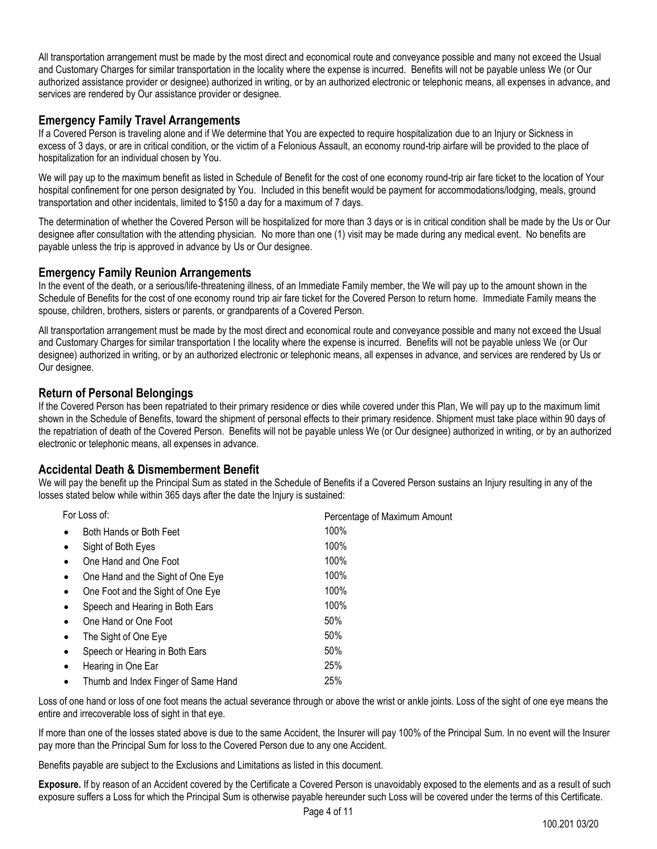All transportation arrangement must be made by the most direct and economical route and conveyance possible and many not exceed the Usual and Customary Charges for similar transportation in the locality where the expense is incurred. Benefits will not be payable unless We (or Our authorized assistance provider or designee) authorized in writing, or by an authorized electronic or telephonic means, all expenses in advance, and services are rendered by Our assistance provider or designee.

## **Emergency Family Travel Arrangements**

If a Covered Person is traveling alone and if We determine that You are expected to require hospitalization due to an Injury or Sickness in excess of 3 days, or are in critical condition, or the victim of a Felonious Assault, an economy round-trip airfare will be provided to the place of hospitalization for an individual chosen by You.

We will pay up to the maximum benefit as listed in Schedule of Benefit for the cost of one economy round-trip air fare ticket to the location of Your hospital confinement for one person designated by You. Included in this benefit would be payment for accommodations/lodging, meals, ground transportation and other incidentals, limited to \$150 a day for a maximum of 7 days.

The determination of whether the Covered Person will be hospitalized for more than 3 days or is in critical condition shall be made by the Us or Our designee after consultation with the attending physician. No more than one (1) visit may be made during any medical event. No benefits are payable unless the trip is approved in advance by Us or Our designee.

## **Emergency Family Reunion Arrangements**

In the event of the death, or a serious/life-threatening illness, of an Immediate Family member, the We will pay up to the amount shown in the Schedule of Benefits for the cost of one economy round trip air fare ticket for the Covered Person to return home. Immediate Family means the spouse, children, brothers, sisters or parents, or grandparents of a Covered Person.

All transportation arrangement must be made by the most direct and economical route and conveyance possible and many not exceed the Usual and Customary Charges for similar transportation I the locality where the expense is incurred. Benefits will not be payable unless We (or Our designee) authorized in writing, or by an authorized electronic or telephonic means, all expenses in advance, and services are rendered by Us or Our designee.

## **Return of Personal Belongings**

If the Covered Person has been repatriated to their primary residence or dies while covered under this Plan, We will pay up to the maximum limit shown in the Schedule of Benefits, toward the shipment of personal effects to their primary residence. Shipment must take place within 90 days of the repatriation of death of the Covered Person. Benefits will not be payable unless We (or Our designee) authorized in writing, or by an authorized electronic or telephonic means, all expenses in advance.

## **Accidental Death & Dismemberment Benefit**

We will pay the benefit up the Principal Sum as stated in the Schedule of Benefits if a Covered Person sustains an Injury resulting in any of the losses stated below while within 365 days after the date the Injury is sustained:

| For Loss of: |                                     | Percentage of Maximum Amount |
|--------------|-------------------------------------|------------------------------|
|              | Both Hands or Both Feet             | 100%                         |
|              | Sight of Both Eyes                  | 100%                         |
|              | One Hand and One Foot               | 100%                         |
| $\bullet$    | One Hand and the Sight of One Eye   | 100%                         |
| $\bullet$    | One Foot and the Sight of One Eye   | 100%                         |
|              | Speech and Hearing in Both Ears     | 100%                         |
|              | One Hand or One Foot                | 50%                          |
|              | The Sight of One Eye                | 50%                          |
| $\bullet$    | Speech or Hearing in Both Ears      | 50%                          |
| $\bullet$    | Hearing in One Ear                  | 25%                          |
| $\bullet$    | Thumb and Index Finger of Same Hand | 25%                          |
|              |                                     |                              |

Loss of one hand or loss of one foot means the actual severance through or above the wrist or ankle joints. Loss of the sight of one eye means the entire and irrecoverable loss of sight in that eye.

If more than one of the losses stated above is due to the same Accident, the Insurer will pay 100% of the Principal Sum. In no event will the Insurer pay more than the Principal Sum for loss to the Covered Person due to any one Accident.

Benefits payable are subject to the Exclusions and Limitations as listed in this document.

**Exposure.** If by reason of an Accident covered by the Certificate a Covered Person is unavoidably exposed to the elements and as a result of such exposure suffers a Loss for which the Principal Sum is otherwise payable hereunder such Loss will be covered under the terms of this Certificate.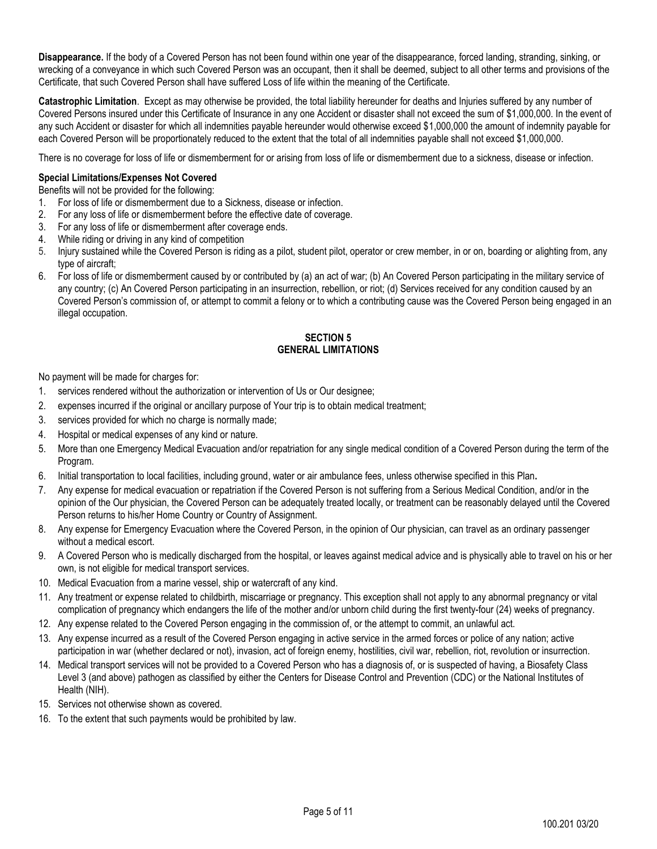**Disappearance.** If the body of a Covered Person has not been found within one year of the disappearance, forced landing, stranding, sinking, or wrecking of a conveyance in which such Covered Person was an occupant, then it shall be deemed, subject to all other terms and provisions of the Certificate, that such Covered Person shall have suffered Loss of life within the meaning of the Certificate.

**Catastrophic Limitation**. Except as may otherwise be provided, the total liability hereunder for deaths and Injuries suffered by any number of Covered Persons insured under this Certificate of Insurance in any one Accident or disaster shall not exceed the sum of \$1,000,000. In the event of any such Accident or disaster for which all indemnities payable hereunder would otherwise exceed \$1,000,000 the amount of indemnity payable for each Covered Person will be proportionately reduced to the extent that the total of all indemnities payable shall not exceed \$1,000,000.

There is no coverage for loss of life or dismemberment for or arising from loss of life or dismemberment due to a sickness, disease or infection.

## **Special Limitations/Expenses Not Covered**

#### Benefits will not be provided for the following:

- 1. For loss of life or dismemberment due to a Sickness, disease or infection.
- 2. For any loss of life or dismemberment before the effective date of coverage.
- 3. For any loss of life or dismemberment after coverage ends.
- 4. While riding or driving in any kind of competition
- 5. Injury sustained while the Covered Person is riding as a pilot, student pilot, operator or crew member, in or on, boarding or alighting from, any type of aircraft;
- 6. For loss of life or dismemberment caused by or contributed by (a) an act of war; (b) An Covered Person participating in the military service of any country; (c) An Covered Person participating in an insurrection, rebellion, or riot; (d) Services received for any condition caused by an Covered Person's commission of, or attempt to commit a felony or to which a contributing cause was the Covered Person being engaged in an illegal occupation.

## **SECTION 5 GENERAL LIMITATIONS**

<span id="page-4-0"></span>No payment will be made for charges for:

- 1. services rendered without the authorization or intervention of Us or Our designee;
- 2. expenses incurred if the original or ancillary purpose of Your trip is to obtain medical treatment;
- 3. services provided for which no charge is normally made;
- 4. Hospital or medical expenses of any kind or nature.
- 5. More than one Emergency Medical Evacuation and/or repatriation for any single medical condition of a Covered Person during the term of the Program.
- 6. Initial transportation to local facilities, including ground, water or air ambulance fees, unless otherwise specified in this Plan**.**
- 7. Any expense for medical evacuation or repatriation if the Covered Person is not suffering from a Serious Medical Condition, and/or in the opinion of the Our physician, the Covered Person can be adequately treated locally, or treatment can be reasonably delayed until the Covered Person returns to his/her Home Country or Country of Assignment.
- 8. Any expense for Emergency Evacuation where the Covered Person, in the opinion of Our physician, can travel as an ordinary passenger without a medical escort.
- 9. A Covered Person who is medically discharged from the hospital, or leaves against medical advice and is physically able to travel on his or her own, is not eligible for medical transport services.
- 10. Medical Evacuation from a marine vessel, ship or watercraft of any kind.
- 11. Any treatment or expense related to childbirth, miscarriage or pregnancy. This exception shall not apply to any abnormal pregnancy or vital complication of pregnancy which endangers the life of the mother and/or unborn child during the first twenty-four (24) weeks of pregnancy.
- 12. Any expense related to the Covered Person engaging in the commission of, or the attempt to commit, an unlawful act.
- 13. Any expense incurred as a result of the Covered Person engaging in active service in the armed forces or police of any nation; active participation in war (whether declared or not), invasion, act of foreign enemy, hostilities, civil war, rebellion, riot, revolution or insurrection.
- 14. Medical transport services will not be provided to a Covered Person who has a diagnosis of, or is suspected of having, a Biosafety Class Level 3 (and above) pathogen as classified by either the Centers for Disease Control and Prevention (CDC) or the National Institutes of Health (NIH).
- 15. Services not otherwise shown as covered.
- 16. To the extent that such payments would be prohibited by law.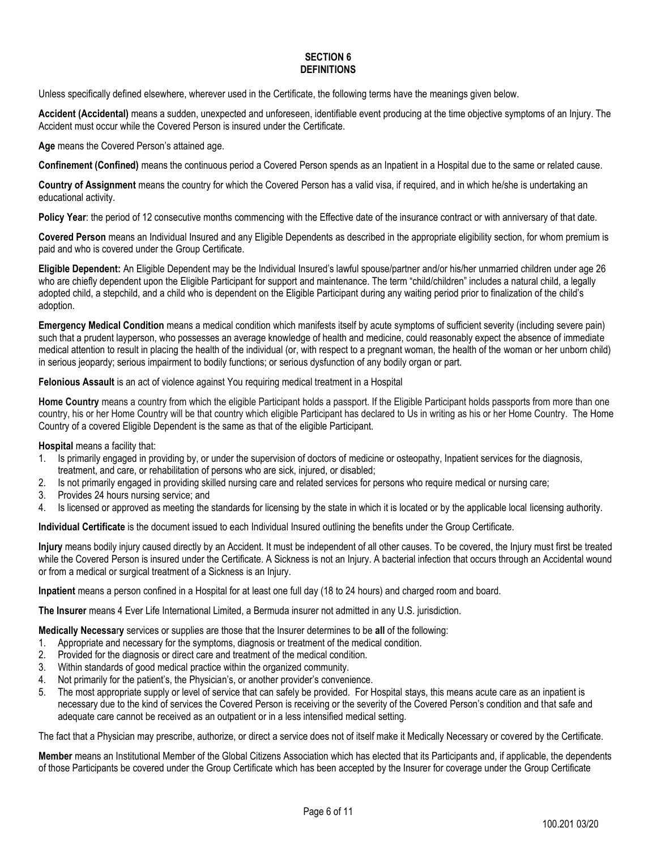#### **SECTION 6 DEFINITIONS**

<span id="page-5-0"></span>Unless specifically defined elsewhere, wherever used in the Certificate, the following terms have the meanings given below.

**Accident (Accidental)** means a sudden, unexpected and unforeseen, identifiable event producing at the time objective symptoms of an Injury. The Accident must occur while the Covered Person is insured under the Certificate.

**Age** means the Covered Person's attained age.

**Confinement (Confined)** means the continuous period a Covered Person spends as an Inpatient in a Hospital due to the same or related cause.

**Country of Assignment** means the country for which the Covered Person has a valid visa, if required, and in which he/she is undertaking an educational activity.

**Policy Year**: the period of 12 consecutive months commencing with the Effective date of the insurance contract or with anniversary of that date.

**Covered Person** means an Individual Insured and any Eligible Dependents as described in the appropriate eligibility section, for whom premium is paid and who is covered under the Group Certificate.

**Eligible Dependent:** An Eligible Dependent may be the Individual Insured's lawful spouse/partner and/or his/her unmarried children under age 26 who are chiefly dependent upon the Eligible Participant for support and maintenance. The term "child/children" includes a natural child, a legally adopted child, a stepchild, and a child who is dependent on the Eligible Participant during any waiting period prior to finalization of the child's adoption.

**Emergency Medical Condition** means a medical condition which manifests itself by acute symptoms of sufficient severity (including severe pain) such that a prudent layperson, who possesses an average knowledge of health and medicine, could reasonably expect the absence of immediate medical attention to result in placing the health of the individual (or, with respect to a pregnant woman, the health of the woman or her unborn child) in serious jeopardy; serious impairment to bodily functions; or serious dysfunction of any bodily organ or part.

#### **Felonious Assault** is an act of violence against You requiring medical treatment in a Hospital

**Home Country** means a country from which the eligible Participant holds a passport. If the Eligible Participant holds passports from more than one country, his or her Home Country will be that country which eligible Participant has declared to Us in writing as his or her Home Country. The Home Country of a covered Eligible Dependent is the same as that of the eligible Participant.

**Hospital** means a facility that:

- 1. Is primarily engaged in providing by, or under the supervision of doctors of medicine or osteopathy, Inpatient services for the diagnosis, treatment, and care, or rehabilitation of persons who are sick, injured, or disabled;
- 2. Is not primarily engaged in providing skilled nursing care and related services for persons who require medical or nursing care;
- 3. Provides 24 hours nursing service; and
- 4. Is licensed or approved as meeting the standards for licensing by the state in which it is located or by the applicable local licensing authority.

**Individual Certificate** is the document issued to each Individual Insured outlining the benefits under the Group Certificate.

**Injury** means bodily injury caused directly by an Accident. It must be independent of all other causes. To be covered, the Injury must first be treated while the Covered Person is insured under the Certificate. A Sickness is not an Injury. A bacterial infection that occurs through an Accidental wound or from a medical or surgical treatment of a Sickness is an Injury.

**Inpatient** means a person confined in a Hospital for at least one full day (18 to 24 hours) and charged room and board.

**The Insurer** means 4 Ever Life International Limited, a Bermuda insurer not admitted in any U.S. jurisdiction.

**Medically Necessa**r**y** services or supplies are those that the Insurer determines to be **all** of the following:

- 1. Appropriate and necessary for the symptoms, diagnosis or treatment of the medical condition.
- 2. Provided for the diagnosis or direct care and treatment of the medical condition.
- 3. Within standards of good medical practice within the organized community.
- 4. Not primarily for the patient's, the Physician's, or another provider's convenience.
- 5. The most appropriate supply or level of service that can safely be provided. For Hospital stays, this means acute care as an inpatient is necessary due to the kind of services the Covered Person is receiving or the severity of the Covered Person's condition and that safe and adequate care cannot be received as an outpatient or in a less intensified medical setting.

The fact that a Physician may prescribe, authorize, or direct a service does not of itself make it Medically Necessary or covered by the Certificate.

**Member** means an Institutional Member of the Global Citizens Association which has elected that its Participants and, if applicable, the dependents of those Participants be covered under the Group Certificate which has been accepted by the Insurer for coverage under the Group Certificate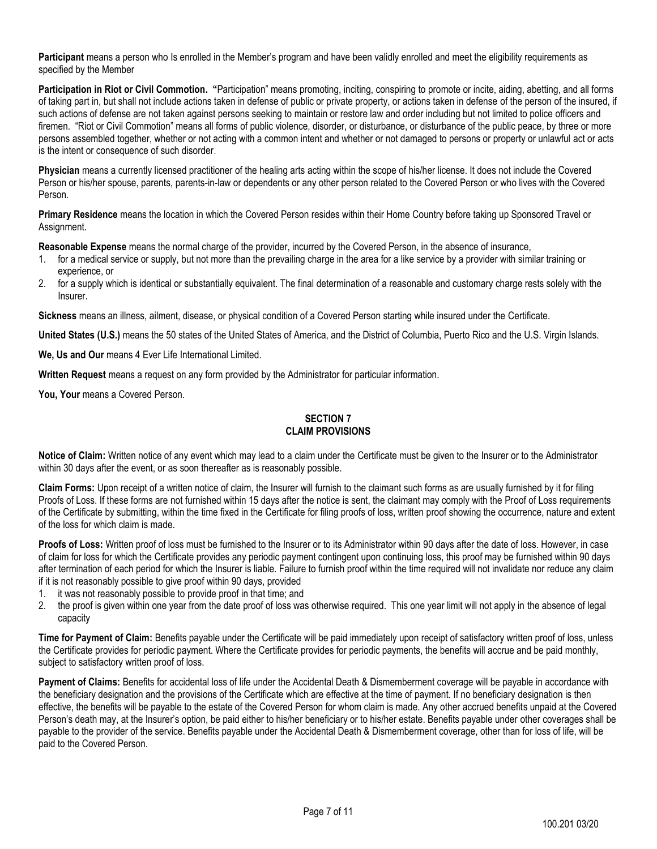**Participant** means a person who Is enrolled in the Member's program and have been validly enrolled and meet the eligibility requirements as specified by the Member

**Participation in Riot or Civil Commotion. "**Participation" means promoting, inciting, conspiring to promote or incite, aiding, abetting, and all forms of taking part in, but shall not include actions taken in defense of public or private property, or actions taken in defense of the person of the insured, if such actions of defense are not taken against persons seeking to maintain or restore law and order including but not limited to police officers and firemen. "Riot or Civil Commotion" means all forms of public violence, disorder, or disturbance, or disturbance of the public peace, by three or more persons assembled together, whether or not acting with a common intent and whether or not damaged to persons or property or unlawful act or acts is the intent or consequence of such disorder.

**Physician** means a currently licensed practitioner of the healing arts acting within the scope of his/her license. It does not include the Covered Person or his/her spouse, parents, parents-in-law or dependents or any other person related to the Covered Person or who lives with the Covered Person.

**Primary Residence** means the location in which the Covered Person resides within their Home Country before taking up Sponsored Travel or Assignment.

**Reasonable Expense** means the normal charge of the provider, incurred by the Covered Person, in the absence of insurance,

- 1. for a medical service or supply, but not more than the prevailing charge in the area for a like service by a provider with similar training or experience, or
- 2. for a supply which is identical or substantially equivalent. The final determination of a reasonable and customary charge rests solely with the Insurer.

**Sickness** means an illness, ailment, disease, or physical condition of a Covered Person starting while insured under the Certificate.

**United States (U.S.)** means the 50 states of the United States of America, and the District of Columbia, Puerto Rico and the U.S. Virgin Islands.

**We, Us and Our** means 4 Ever Life International Limited.

**Written Request** means a request on any form provided by the Administrator for particular information.

<span id="page-6-0"></span>You, Your means a Covered Person.

#### **SECTION 7 CLAIM PROVISIONS**

**Notice of Claim:** Written notice of any event which may lead to a claim under the Certificate must be given to the Insurer or to the Administrator within 30 days after the event, or as soon thereafter as is reasonably possible.

**Claim Forms:** Upon receipt of a written notice of claim, the Insurer will furnish to the claimant such forms as are usually furnished by it for filing Proofs of Loss. If these forms are not furnished within 15 days after the notice is sent, the claimant may comply with the Proof of Loss requirements of the Certificate by submitting, within the time fixed in the Certificate for filing proofs of loss, written proof showing the occurrence, nature and extent of the loss for which claim is made.

**Proofs of Loss:** Written proof of loss must be furnished to the Insurer or to its Administrator within 90 days after the date of loss. However, in case of claim for loss for which the Certificate provides any periodic payment contingent upon continuing loss, this proof may be furnished within 90 days after termination of each period for which the Insurer is liable. Failure to furnish proof within the time required will not invalidate nor reduce any claim if it is not reasonably possible to give proof within 90 days, provided

- 1. it was not reasonably possible to provide proof in that time; and
- 2. the proof is given within one year from the date proof of loss was otherwise required. This one year limit will not apply in the absence of legal capacity

**Time for Payment of Claim:** Benefits payable under the Certificate will be paid immediately upon receipt of satisfactory written proof of loss, unless the Certificate provides for periodic payment. Where the Certificate provides for periodic payments, the benefits will accrue and be paid monthly, subject to satisfactory written proof of loss.

**Payment of Claims:** Benefits for accidental loss of life under the Accidental Death & Dismemberment coverage will be payable in accordance with the beneficiary designation and the provisions of the Certificate which are effective at the time of payment. If no beneficiary designation is then effective, the benefits will be payable to the estate of the Covered Person for whom claim is made. Any other accrued benefits unpaid at the Covered Person's death may, at the Insurer's option, be paid either to his/her beneficiary or to his/her estate. Benefits payable under other coverages shall be payable to the provider of the service. Benefits payable under the Accidental Death & Dismemberment coverage, other than for loss of life, will be paid to the Covered Person.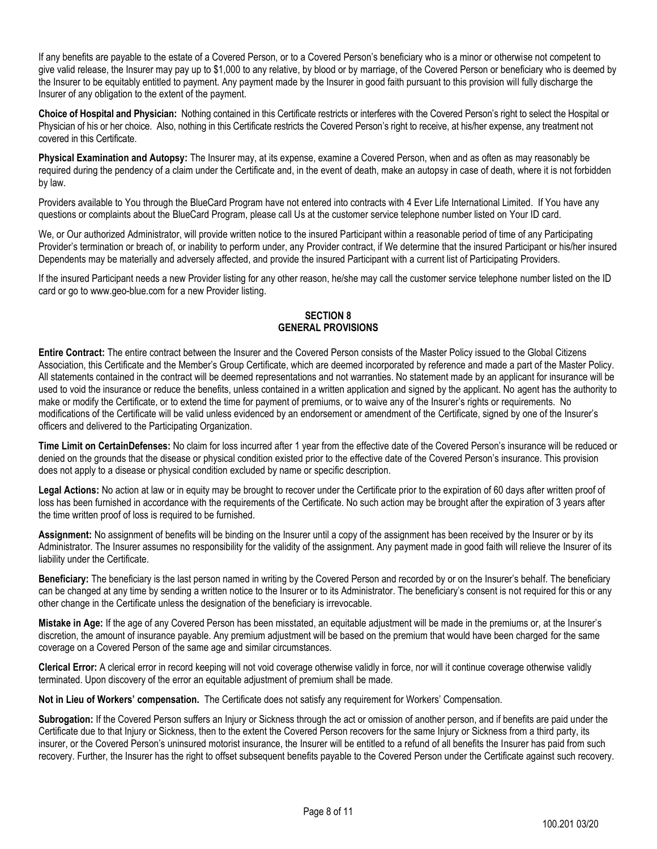If any benefits are payable to the estate of a Covered Person, or to a Covered Person's beneficiary who is a minor or otherwise not competent to give valid release, the Insurer may pay up to \$1,000 to any relative, by blood or by marriage, of the Covered Person or beneficiary who is deemed by the Insurer to be equitably entitled to payment. Any payment made by the Insurer in good faith pursuant to this provision will fully discharge the Insurer of any obligation to the extent of the payment.

**Choice of Hospital and Physician:** Nothing contained in this Certificate restricts or interferes with the Covered Person's right to select the Hospital or Physician of his or her choice. Also, nothing in this Certificate restricts the Covered Person's right to receive, at his/her expense, any treatment not covered in this Certificate.

**Physical Examination and Autopsy:** The Insurer may, at its expense, examine a Covered Person, when and as often as may reasonably be required during the pendency of a claim under the Certificate and, in the event of death, make an autopsy in case of death, where it is not forbidden by law.

Providers available to You through the BlueCard Program have not entered into contracts with 4 Ever Life International Limited. If You have any questions or complaints about the BlueCard Program, please call Us at the customer service telephone number listed on Your ID card.

We, or Our authorized Administrator, will provide written notice to the insured Participant within a reasonable period of time of any Participating Provider's termination or breach of, or inability to perform under, any Provider contract, if We determine that the insured Participant or his/her insured Dependents may be materially and adversely affected, and provide the insured Participant with a current list of Participating Providers.

<span id="page-7-0"></span>If the insured Participant needs a new Provider listing for any other reason, he/she may call the customer service telephone number listed on the ID card or go to www.geo-blue.com for a new Provider listing.

## **SECTION 8 GENERAL PROVISIONS**

**Entire Contract:** The entire contract between the Insurer and the Covered Person consists of the Master Policy issued to the Global Citizens Association, this Certificate and the Member's Group Certificate, which are deemed incorporated by reference and made a part of the Master Policy. All statements contained in the contract will be deemed representations and not warranties. No statement made by an applicant for insurance will be used to void the insurance or reduce the benefits, unless contained in a written application and signed by the applicant. No agent has the authority to make or modify the Certificate, or to extend the time for payment of premiums, or to waive any of the Insurer's rights or requirements. No modifications of the Certificate will be valid unless evidenced by an endorsement or amendment of the Certificate, signed by one of the Insurer's officers and delivered to the Participating Organization.

**Time Limit on CertainDefenses:** No claim for loss incurred after 1 year from the effective date of the Covered Person's insurance will be reduced or denied on the grounds that the disease or physical condition existed prior to the effective date of the Covered Person's insurance. This provision does not apply to a disease or physical condition excluded by name or specific description.

**Legal Actions:** No action at law or in equity may be brought to recover under the Certificate prior to the expiration of 60 days after written proof of loss has been furnished in accordance with the requirements of the Certificate. No such action may be brought after the expiration of 3 years after the time written proof of loss is required to be furnished.

**Assignment:** No assignment of benefits will be binding on the Insurer until a copy of the assignment has been received by the Insurer or by its Administrator. The Insurer assumes no responsibility for the validity of the assignment. Any payment made in good faith will relieve the Insurer of its liability under the Certificate.

**Beneficiary:** The beneficiary is the last person named in writing by the Covered Person and recorded by or on the Insurer's behalf. The beneficiary can be changed at any time by sending a written notice to the Insurer or to its Administrator. The beneficiary's consent is not required for this or any other change in the Certificate unless the designation of the beneficiary is irrevocable.

**Mistake in Age:** If the age of any Covered Person has been misstated, an equitable adjustment will be made in the premiums or, at the Insurer's discretion, the amount of insurance payable. Any premium adjustment will be based on the premium that would have been charged for the same coverage on a Covered Person of the same age and similar circumstances.

**Clerical Error:** A clerical error in record keeping will not void coverage otherwise validly in force, nor will it continue coverage otherwise validly terminated. Upon discovery of the error an equitable adjustment of premium shall be made.

**Not in Lieu of Workers' compensation.** The Certificate does not satisfy any requirement for Workers' Compensation.

**Subrogation:** If the Covered Person suffers an Injury or Sickness through the act or omission of another person, and if benefits are paid under the Certificate due to that Injury or Sickness, then to the extent the Covered Person recovers for the same Injury or Sickness from a third party, its insurer, or the Covered Person's uninsured motorist insurance, the Insurer will be entitled to a refund of all benefits the Insurer has paid from such recovery. Further, the Insurer has the right to offset subsequent benefits payable to the Covered Person under the Certificate against such recovery.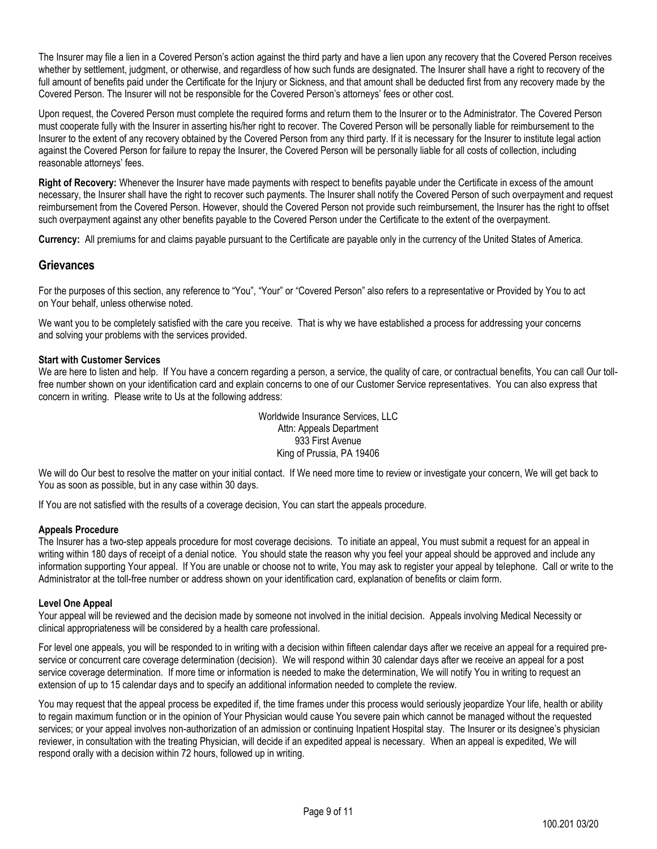The Insurer may file a lien in a Covered Person's action against the third party and have a lien upon any recovery that the Covered Person receives whether by settlement, judgment, or otherwise, and regardless of how such funds are designated. The Insurer shall have a right to recovery of the full amount of benefits paid under the Certificate for the Injury or Sickness, and that amount shall be deducted first from any recovery made by the Covered Person. The Insurer will not be responsible for the Covered Person's attorneys' fees or other cost.

Upon request, the Covered Person must complete the required forms and return them to the Insurer or to the Administrator. The Covered Person must cooperate fully with the Insurer in asserting his/her right to recover. The Covered Person will be personally liable for reimbursement to the Insurer to the extent of any recovery obtained by the Covered Person from any third party. If it is necessary for the Insurer to institute legal action against the Covered Person for failure to repay the Insurer, the Covered Person will be personally liable for all costs of collection, including reasonable attorneys' fees.

**Right of Recovery:** Whenever the Insurer have made payments with respect to benefits payable under the Certificate in excess of the amount necessary, the Insurer shall have the right to recover such payments. The Insurer shall notify the Covered Person of such overpayment and request reimbursement from the Covered Person. However, should the Covered Person not provide such reimbursement, the Insurer has the right to offset such overpayment against any other benefits payable to the Covered Person under the Certificate to the extent of the overpayment.

**Currency:** All premiums for and claims payable pursuant to the Certificate are payable only in the currency of the United States of America.

## **Grievances**

For the purposes of this section, any reference to "You", "Your" or "Covered Person" also refers to a representative or Provided by You to act on Your behalf, unless otherwise noted.

We want you to be completely satisfied with the care you receive. That is why we have established a process for addressing your concerns and solving your problems with the services provided.

#### **Start with Customer Services**

We are here to listen and help. If You have a concern regarding a person, a service, the quality of care, or contractual benefits, You can call Our tollfree number shown on your identification card and explain concerns to one of our Customer Service representatives. You can also express that concern in writing. Please write to Us at the following address:

> Worldwide Insurance Services, LLC Attn: Appeals Department 933 First Avenue King of Prussia, PA 19406

We will do Our best to resolve the matter on your initial contact. If We need more time to review or investigate your concern, We will get back to You as soon as possible, but in any case within 30 days.

If You are not satisfied with the results of a coverage decision, You can start the appeals procedure.

#### **Appeals Procedure**

The Insurer has a two-step appeals procedure for most coverage decisions. To initiate an appeal, You must submit a request for an appeal in writing within 180 days of receipt of a denial notice. You should state the reason why you feel your appeal should be approved and include any information supporting Your appeal. If You are unable or choose not to write, You may ask to register your appeal by telephone. Call or write to the Administrator at the toll-free number or address shown on your identification card, explanation of benefits or claim form.

#### **Level One Appeal**

Your appeal will be reviewed and the decision made by someone not involved in the initial decision. Appeals involving Medical Necessity or clinical appropriateness will be considered by a health care professional.

For level one appeals, you will be responded to in writing with a decision within fifteen calendar days after we receive an appeal for a required preservice or concurrent care coverage determination (decision). We will respond within 30 calendar days after we receive an appeal for a post service coverage determination. If more time or information is needed to make the determination, We will notify You in writing to request an extension of up to 15 calendar days and to specify an additional information needed to complete the review.

You may request that the appeal process be expedited if, the time frames under this process would seriously jeopardize Your life, health or ability to regain maximum function or in the opinion of Your Physician would cause You severe pain which cannot be managed without the requested services; or your appeal involves non-authorization of an admission or continuing Inpatient Hospital stay. The Insurer or its designee's physician reviewer, in consultation with the treating Physician, will decide if an expedited appeal is necessary. When an appeal is expedited, We will respond orally with a decision within 72 hours, followed up in writing.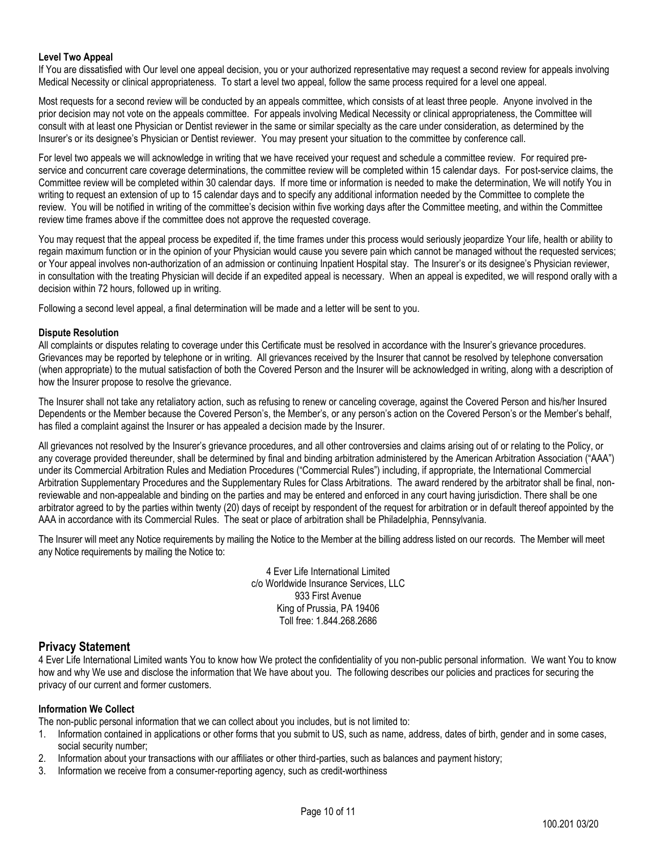## **Level Two Appeal**

If You are dissatisfied with Our level one appeal decision, you or your authorized representative may request a second review for appeals involving Medical Necessity or clinical appropriateness. To start a level two appeal, follow the same process required for a level one appeal.

Most requests for a second review will be conducted by an appeals committee, which consists of at least three people. Anyone involved in the prior decision may not vote on the appeals committee. For appeals involving Medical Necessity or clinical appropriateness, the Committee will consult with at least one Physician or Dentist reviewer in the same or similar specialty as the care under consideration, as determined by the Insurer's or its designee's Physician or Dentist reviewer. You may present your situation to the committee by conference call.

For level two appeals we will acknowledge in writing that we have received your request and schedule a committee review. For required preservice and concurrent care coverage determinations, the committee review will be completed within 15 calendar days. For post-service claims, the Committee review will be completed within 30 calendar days. If more time or information is needed to make the determination, We will notify You in writing to request an extension of up to 15 calendar days and to specify any additional information needed by the Committee to complete the review. You will be notified in writing of the committee's decision within five working days after the Committee meeting, and within the Committee review time frames above if the committee does not approve the requested coverage.

You may request that the appeal process be expedited if, the time frames under this process would seriously jeopardize Your life, health or ability to regain maximum function or in the opinion of your Physician would cause you severe pain which cannot be managed without the requested services; or Your appeal involves non-authorization of an admission or continuing Inpatient Hospital stay. The Insurer's or its designee's Physician reviewer, in consultation with the treating Physician will decide if an expedited appeal is necessary. When an appeal is expedited, we will respond orally with a decision within 72 hours, followed up in writing.

Following a second level appeal, a final determination will be made and a letter will be sent to you.

## **Dispute Resolution**

All complaints or disputes relating to coverage under this Certificate must be resolved in accordance with the Insurer's grievance procedures. Grievances may be reported by telephone or in writing. All grievances received by the Insurer that cannot be resolved by telephone conversation (when appropriate) to the mutual satisfaction of both the Covered Person and the Insurer will be acknowledged in writing, along with a description of how the Insurer propose to resolve the grievance.

The Insurer shall not take any retaliatory action, such as refusing to renew or canceling coverage, against the Covered Person and his/her Insured Dependents or the Member because the Covered Person's, the Member's, or any person's action on the Covered Person's or the Member's behalf, has filed a complaint against the Insurer or has appealed a decision made by the Insurer.

All grievances not resolved by the Insurer's grievance procedures, and all other controversies and claims arising out of or relating to the Policy, or any coverage provided thereunder, shall be determined by final and binding arbitration administered by the American Arbitration Association ("AAA") under its Commercial Arbitration Rules and Mediation Procedures ("Commercial Rules") including, if appropriate, the International Commercial Arbitration Supplementary Procedures and the Supplementary Rules for Class Arbitrations. The award rendered by the arbitrator shall be final, nonreviewable and non-appealable and binding on the parties and may be entered and enforced in any court having jurisdiction. There shall be one arbitrator agreed to by the parties within twenty (20) days of receipt by respondent of the request for arbitration or in default thereof appointed by the AAA in accordance with its Commercial Rules. The seat or place of arbitration shall be Philadelphia, Pennsylvania.

The Insurer will meet any Notice requirements by mailing the Notice to the Member at the billing address listed on our records. The Member will meet any Notice requirements by mailing the Notice to:

> 4 Ever Life International Limited c/o Worldwide Insurance Services, LLC 933 First Avenue King of Prussia, PA 19406 Toll free: 1.844.268.2686

## **Privacy Statement**

4 Ever Life International Limited wants You to know how We protect the confidentiality of you non-public personal information. We want You to know how and why We use and disclose the information that We have about you. The following describes our policies and practices for securing the privacy of our current and former customers.

## **Information We Collect**

The non-public personal information that we can collect about you includes, but is not limited to:

- 1. Information contained in applications or other forms that you submit to US, such as name, address, dates of birth, gender and in some cases, social security number;
- 2. Information about your transactions with our affiliates or other third-parties, such as balances and payment history;
- 3. Information we receive from a consumer-reporting agency, such as credit-worthiness